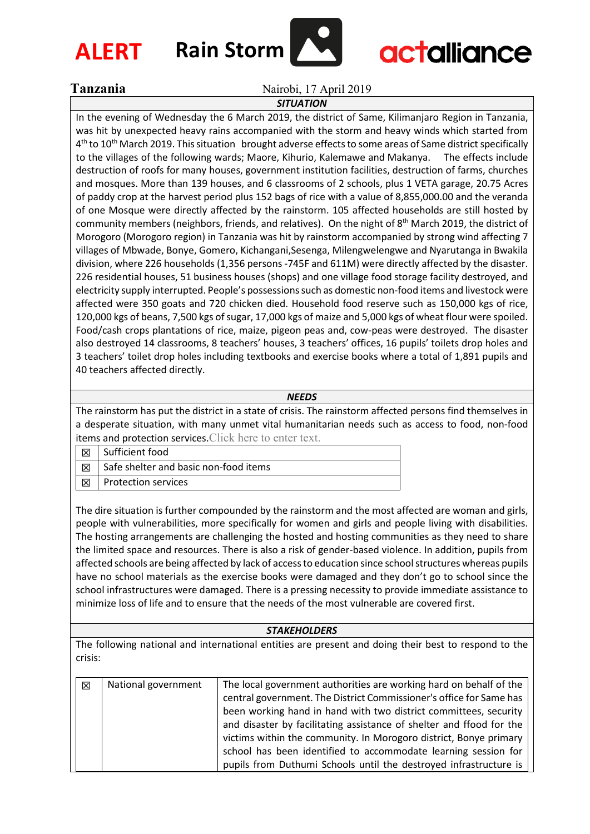

# **actalliance**

Tanzania Nairobi, 17 April 2019

## *SITUATION*

In the evening of Wednesday the 6 March 2019, the district of Same, Kilimanjaro Region in Tanzania, was hit by unexpected heavy rains accompanied with the storm and heavy winds which started from  $4<sup>th</sup>$  to 10<sup>th</sup> March 2019. This situation brought adverse effects to some areas of Same district specifically to the villages of the following wards; Maore, Kihurio, Kalemawe and Makanya. The effects include destruction of roofs for many houses, government institution facilities, destruction of farms, churches and mosques. More than 139 houses, and 6 classrooms of 2 schools, plus 1 VETA garage, 20.75 Acres of paddy crop at the harvest period plus 152 bags of rice with a value of 8,855,000.00 and the veranda of one Mosque were directly affected by the rainstorm. 105 affected households are still hosted by community members (neighbors, friends, and relatives). On the night of 8<sup>th</sup> March 2019, the district of Morogoro (Morogoro region) in Tanzania was hit by rainstorm accompanied by strong wind affecting 7 villages of Mbwade, Bonye, Gomero, Kichangani,Sesenga, Milengwelengwe and Nyarutanga in Bwakila division, where 226 households (1,356 persons -745F and 611M) were directly affected by the disaster. 226 residential houses, 51 business houses (shops) and one village food storage facility destroyed, and electricity supply interrupted. People's possessions such as domestic non-food items and livestock were affected were 350 goats and 720 chicken died. Household food reserve such as 150,000 kgs of rice, 120,000 kgs of beans, 7,500 kgs of sugar, 17,000 kgs of maize and 5,000 kgs of wheat flour were spoiled. Food/cash crops plantations of rice, maize, pigeon peas and, cow-peas were destroyed. The disaster also destroyed 14 classrooms, 8 teachers' houses, 3 teachers' offices, 16 pupils' toilets drop holes and 3 teachers' toilet drop holes including textbooks and exercise books where a total of 1,891 pupils and 40 teachers affected directly.

### *NEEDS*

The rainstorm has put the district in a state of crisis. The rainstorm affected persons find themselves in a desperate situation, with many unmet vital humanitarian needs such as access to food, non-food items and protection services.Click here to enter text.

|  | Sufficient food                       |
|--|---------------------------------------|
|  | Safe shelter and basic non-food items |
|  | <b>Protection services</b>            |

The dire situation is further compounded by the rainstorm and the most affected are woman and girls, people with vulnerabilities, more specifically for women and girls and people living with disabilities. The hosting arrangements are challenging the hosted and hosting communities as they need to share the limited space and resources. There is also a risk of gender-based violence. In addition, pupils from affected schools are being affected by lack of access to education since school structures whereas pupils have no school materials as the exercise books were damaged and they don't go to school since the school infrastructures were damaged. There is a pressing necessity to provide immediate assistance to minimize loss of life and to ensure that the needs of the most vulnerable are covered first.

#### *STAKEHOLDERS*

The following national and international entities are present and doing their best to respond to the crisis:

| $\boxtimes$ | National government | The local government authorities are working hard on behalf of the   |
|-------------|---------------------|----------------------------------------------------------------------|
|             |                     | central government. The District Commissioner's office for Same has  |
|             |                     | been working hand in hand with two district committees, security     |
|             |                     | and disaster by facilitating assistance of shelter and ffood for the |
|             |                     | victims within the community. In Morogoro district, Bonye primary    |
|             |                     | school has been identified to accommodate learning session for       |
|             |                     | pupils from Duthumi Schools until the destroyed infrastructure is    |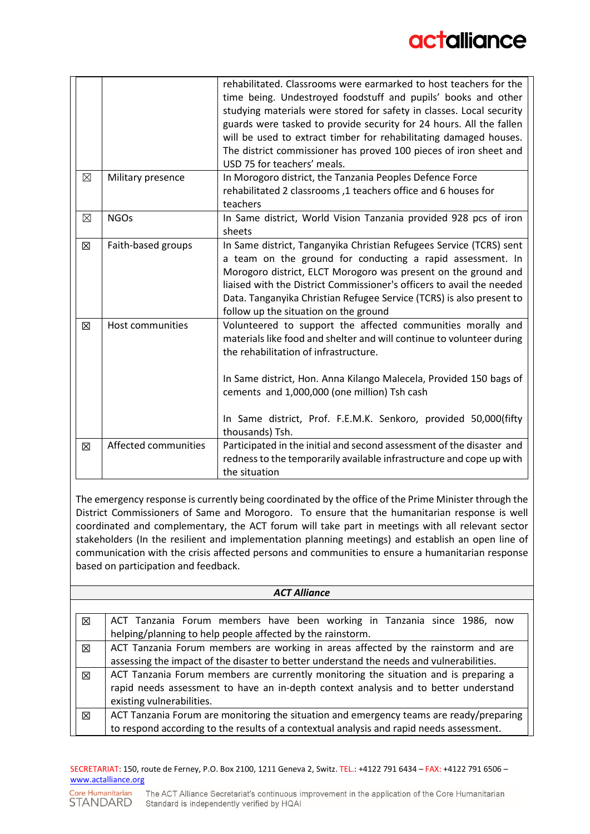|             |                      | rehabilitated. Classrooms were earmarked to host teachers for the<br>time being. Undestroyed foodstuff and pupils' books and other<br>studying materials were stored for safety in classes. Local security<br>guards were tasked to provide security for 24 hours. All the fallen<br>will be used to extract timber for rehabilitating damaged houses.<br>The district commissioner has proved 100 pieces of iron sheet and<br>USD 75 for teachers' meals. |
|-------------|----------------------|------------------------------------------------------------------------------------------------------------------------------------------------------------------------------------------------------------------------------------------------------------------------------------------------------------------------------------------------------------------------------------------------------------------------------------------------------------|
| $\boxtimes$ | Military presence    | In Morogoro district, the Tanzania Peoples Defence Force<br>rehabilitated 2 classrooms, 1 teachers office and 6 houses for<br>teachers                                                                                                                                                                                                                                                                                                                     |
| ⊠           | <b>NGOs</b>          | In Same district, World Vision Tanzania provided 928 pcs of iron<br>sheets                                                                                                                                                                                                                                                                                                                                                                                 |
| 区           | Faith-based groups   | In Same district, Tanganyika Christian Refugees Service (TCRS) sent<br>a team on the ground for conducting a rapid assessment. In<br>Morogoro district, ELCT Morogoro was present on the ground and<br>liaised with the District Commissioner's officers to avail the needed<br>Data. Tanganyika Christian Refugee Service (TCRS) is also present to<br>follow up the situation on the ground                                                              |
| 区           | Host communities     | Volunteered to support the affected communities morally and<br>materials like food and shelter and will continue to volunteer during<br>the rehabilitation of infrastructure.<br>In Same district, Hon. Anna Kilango Malecela, Provided 150 bags of<br>cements and 1,000,000 (one million) Tsh cash<br>In Same district, Prof. F.E.M.K. Senkoro, provided 50,000(fifty<br>thousands) Tsh.                                                                  |
| 区           | Affected communities | Participated in the initial and second assessment of the disaster and<br>redness to the temporarily available infrastructure and cope up with<br>the situation                                                                                                                                                                                                                                                                                             |

The emergency response is currently being coordinated by the office of the Prime Minister through the District Commissioners of Same and Morogoro. To ensure that the humanitarian response is well coordinated and complementary, the ACT forum will take part in meetings with all relevant sector stakeholders (In the resilient and implementation planning meetings) and establish an open line of communication with the crisis affected persons and communities to ensure a humanitarian response based on participation and feedback.

| <b>ACT Alliance</b> |                                                                                          |  |  |  |
|---------------------|------------------------------------------------------------------------------------------|--|--|--|
|                     |                                                                                          |  |  |  |
| 区                   | ACT Tanzania Forum members have been working in Tanzania since 1986, now                 |  |  |  |
|                     | helping/planning to help people affected by the rainstorm.                               |  |  |  |
| 区                   | ACT Tanzania Forum members are working in areas affected by the rainstorm and are        |  |  |  |
|                     | assessing the impact of the disaster to better understand the needs and vulnerabilities. |  |  |  |
| 区                   | ACT Tanzania Forum members are currently monitoring the situation and is preparing a     |  |  |  |
|                     | rapid needs assessment to have an in-depth context analysis and to better understand     |  |  |  |
|                     | existing vulnerabilities.                                                                |  |  |  |
| 冈                   | ACT Tanzania Forum are monitoring the situation and emergency teams are ready/preparing  |  |  |  |
|                     | to respond according to the results of a contextual analysis and rapid needs assessment. |  |  |  |

#### SECRETARIAT: 150, route de Ferney, P.O. Box 2100, 1211 Geneva 2, Switz. TEL.: +4122 791 6434 – FAX: +4122 791 6506 – [www.actalliance.org](http://www.actalliance.org/)